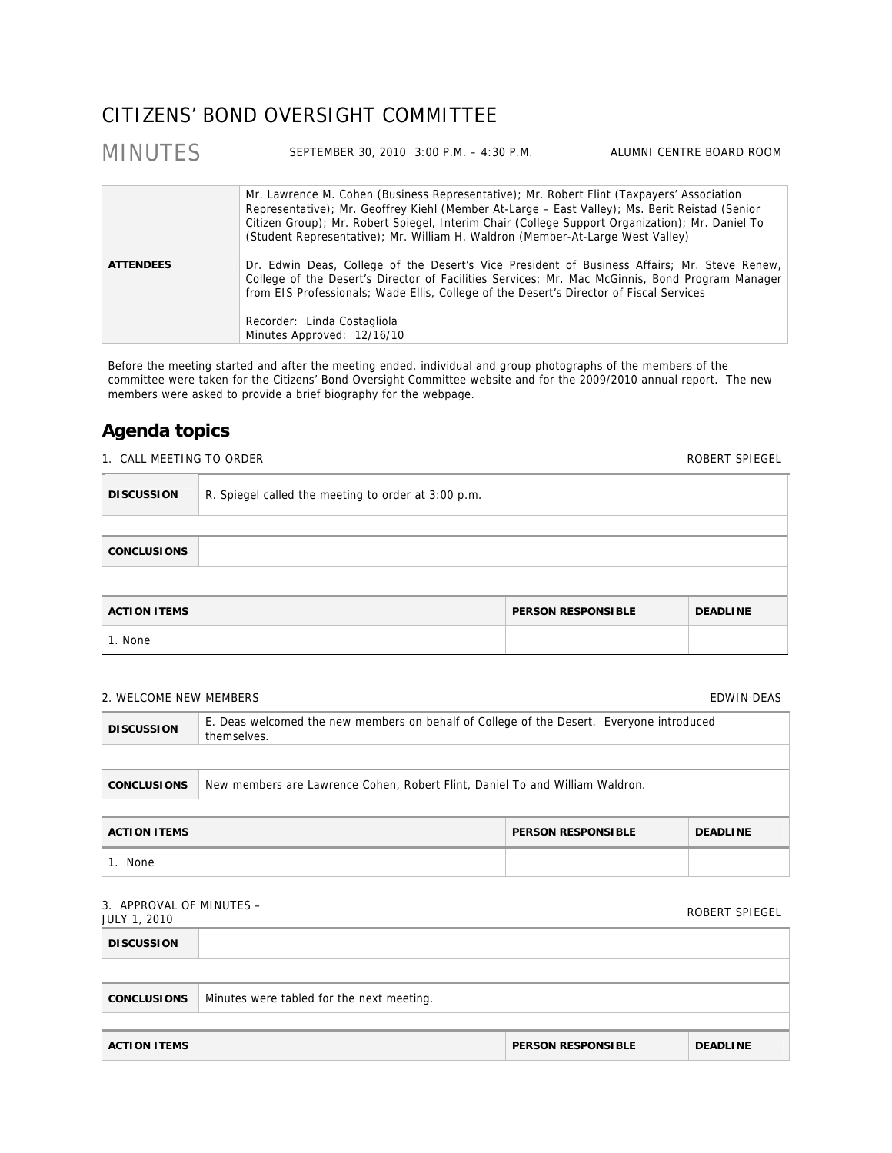# CITIZENS' BOND OVERSIGHT COMMITTEE

### MINUTES SEPTEMBER 30, 2010 3:00 P.M. – 4:30 P.M. ALUMNI CENTRE BOARD ROOM **ATTENDEES**  Mr. Lawrence M. Cohen (Business Representative); Mr. Robert Flint (Taxpayers' Association Representative); Mr. Geoffrey Kiehl (Member At-Large – East Valley); Ms. Berit Reistad (Senior Citizen Group); Mr. Robert Spiegel, Interim Chair (College Support Organization); Mr. Daniel To (Student Representative); Mr. William H. Waldron (Member-At-Large West Valley) Dr. Edwin Deas, College of the Desert's Vice President of Business Affairs; Mr. Steve Renew, College of the Desert's Director of Facilities Services; Mr. Mac McGinnis, Bond Program Manager from EIS Professionals; Wade Ellis, College of the Desert's Director of Fiscal Services Recorder: Linda Costagliola Minutes Approved: 12/16/10

Before the meeting started and after the meeting ended, individual and group photographs of the members of the committee were taken for the Citizens' Bond Oversight Committee website and for the 2009/2010 annual report. The new members were asked to provide a brief biography for the webpage.

# **Agenda topics**

1. CALL MEETING TO ORDER **ROBERT SPIEGEL** 

**DISCUSSION** R. Spiegel called the meeting to order at 3:00 p.m. **CONCLUSIONS ACTION ITEMS PERSON RESPONSIBLE DEADLINE**  1. None

### 2. WELCOME NEW MEMBERS **EDWIN DEAS EDWIN DEAS**

# **DISCUSSION** E. Deas welcomed the new members on behalf of College of the Desert. Everyone introduced themselves. **CONCLUSIONS** New members are Lawrence Cohen, Robert Flint, Daniel To and William Waldron. **ACTION ITEMS** DEADLINE **PERSON RESPONSIBLE** DEADLINE 1. None

## 3. APPROVAL OF MINUTES –

| $J.$ ALLIVO VALUTION INTIVITION<br><b>JULY 1, 2010</b> |                                           |                           | ROBERT SPIEGEL  |
|--------------------------------------------------------|-------------------------------------------|---------------------------|-----------------|
| <b>DISCUSSION</b>                                      |                                           |                           |                 |
|                                                        |                                           |                           |                 |
| <b>CONCLUSIONS</b>                                     | Minutes were tabled for the next meeting. |                           |                 |
|                                                        |                                           |                           |                 |
| <b>ACTION ITEMS</b>                                    |                                           | <b>PERSON RESPONSIBLE</b> | <b>DEADLINE</b> |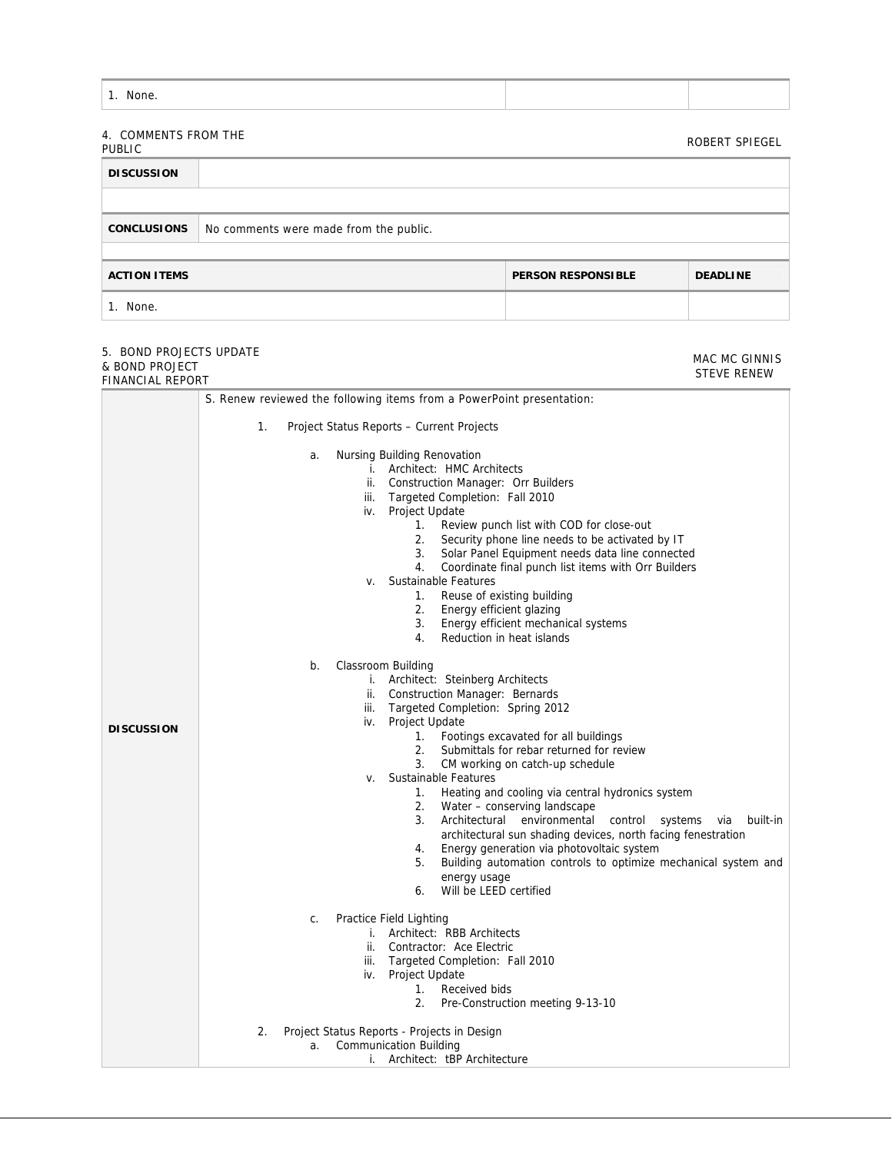| 4. COMMENTS FROM THE<br><b>PUBLIC</b> |                                        |                           | ROBERT SPIEGEL  |
|---------------------------------------|----------------------------------------|---------------------------|-----------------|
| <b>DISCUSSION</b>                     |                                        |                           |                 |
|                                       |                                        |                           |                 |
| <b>CONCLUSIONS</b>                    | No comments were made from the public. |                           |                 |
|                                       |                                        |                           |                 |
| <b>ACTION ITEMS</b>                   |                                        | <b>PERSON RESPONSIBLE</b> | <b>DEADLINE</b> |
| 1. None.                              |                                        |                           |                 |

MAC MC GINNIS

#### 5. BOND PROJECTS UPDATE & BOND PROJECT

| ו טשניט ווי שוועש<br>FINANCIAL REPORT | STEVE RENEW                                                                                             |
|---------------------------------------|---------------------------------------------------------------------------------------------------------|
|                                       | S. Renew reviewed the following items from a PowerPoint presentation:                                   |
|                                       |                                                                                                         |
|                                       | 1.<br>Project Status Reports - Current Projects                                                         |
|                                       | Nursing Building Renovation<br>a.                                                                       |
|                                       | i. Architect: HMC Architects                                                                            |
|                                       | ii. Construction Manager: Orr Builders                                                                  |
|                                       | iii. Targeted Completion: Fall 2010                                                                     |
|                                       | iv. Project Update                                                                                      |
|                                       | Review punch list with COD for close-out<br>1.<br>2.<br>Security phone line needs to be activated by IT |
|                                       | 3. Solar Panel Equipment needs data line connected                                                      |
|                                       | 4.<br>Coordinate final punch list items with Orr Builders                                               |
|                                       | Sustainable Features<br>V.                                                                              |
|                                       | Reuse of existing building<br>1.                                                                        |
|                                       | 2. Energy efficient glazing                                                                             |
|                                       | 3.<br>Energy efficient mechanical systems                                                               |
|                                       | 4.<br>Reduction in heat islands                                                                         |
|                                       | Classroom Building<br>b.                                                                                |
|                                       | i. Architect: Steinberg Architects                                                                      |
|                                       | ii. Construction Manager: Bernards                                                                      |
|                                       | Targeted Completion: Spring 2012<br>iii.                                                                |
| <b>DISCUSSION</b>                     | iv. Project Update                                                                                      |
|                                       | 1. Footings excavated for all buildings                                                                 |
|                                       | 2.<br>Submittals for rebar returned for review<br>3.                                                    |
|                                       | CM working on catch-up schedule<br>Sustainable Features<br>V.                                           |
|                                       | 1.<br>Heating and cooling via central hydronics system                                                  |
|                                       | 2.<br>Water - conserving landscape                                                                      |
|                                       | 3.<br>Architectural environmental<br>built-in<br>control<br>systems<br>via                              |
|                                       | architectural sun shading devices, north facing fenestration                                            |
|                                       | Energy generation via photovoltaic system<br>4.                                                         |
|                                       | 5.<br>Building automation controls to optimize mechanical system and                                    |
|                                       | energy usage<br>Will be LEED certified<br>6.                                                            |
|                                       |                                                                                                         |
|                                       | Practice Field Lighting<br>C.<br>i. Architect: RBB Architects                                           |
|                                       | ii. Contractor: Ace Electric                                                                            |
|                                       | Targeted Completion: Fall 2010<br>iii.                                                                  |
|                                       | Project Update<br>iv.                                                                                   |
|                                       | Received bids<br>$1_{\cdot}$                                                                            |
|                                       | 2.<br>Pre-Construction meeting 9-13-10                                                                  |
|                                       | 2.<br>Project Status Reports - Projects in Design                                                       |
|                                       | <b>Communication Building</b><br>a.                                                                     |
|                                       | i. Architect: tBP Architecture                                                                          |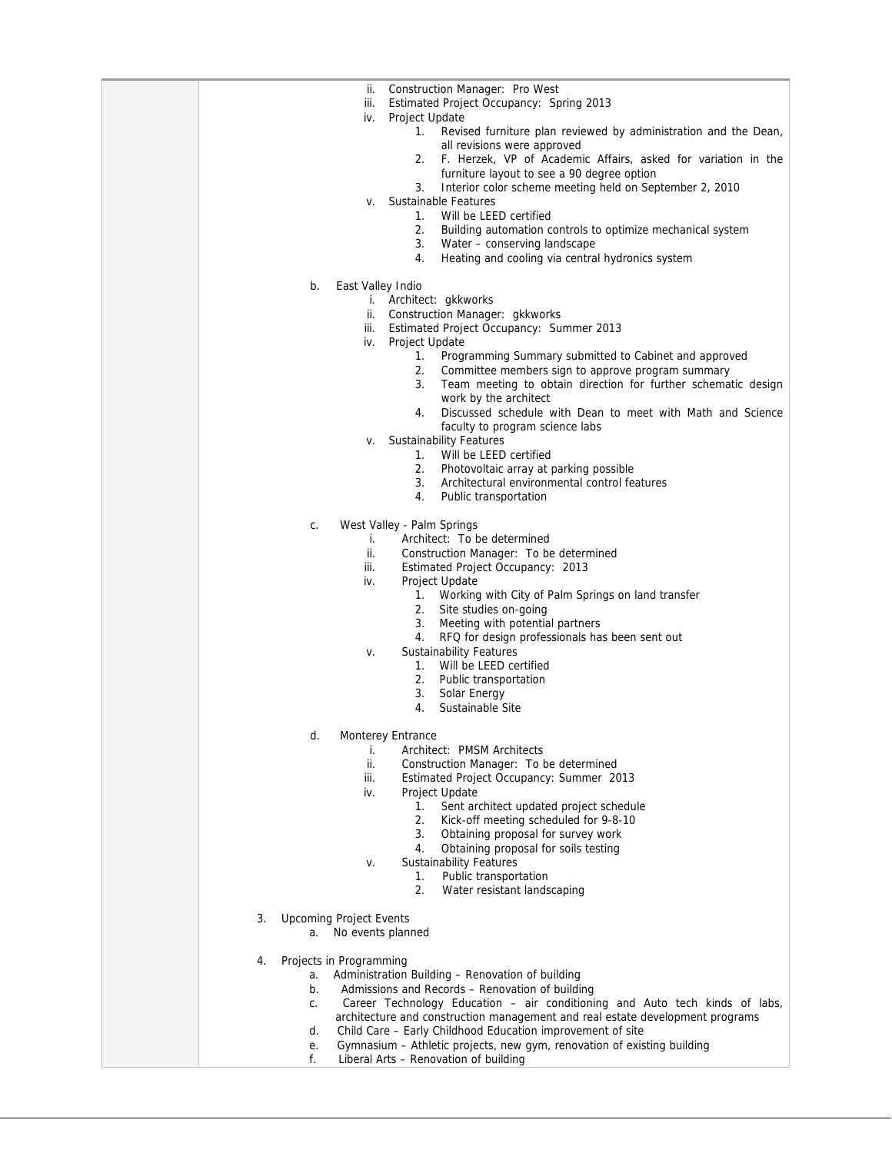| Construction Manager: Pro West<br>ii.<br>iii.<br>Estimated Project Occupancy: Spring 2013                                                         |
|---------------------------------------------------------------------------------------------------------------------------------------------------|
| iv.<br><b>Project Update</b><br>1.<br>Revised furniture plan reviewed by administration and the Dean,                                             |
| all revisions were approved<br>2. F. Herzek, VP of Academic Affairs, asked for variation in the                                                   |
| furniture layout to see a 90 degree option<br>Interior color scheme meeting held on September 2, 2010<br>3.                                       |
| Sustainable Features<br>v.<br>Will be LEED certified<br>1.                                                                                        |
| 2.<br>Building automation controls to optimize mechanical system                                                                                  |
| 3.<br>Water - conserving landscape<br>Heating and cooling via central hydronics system<br>4.                                                      |
| b.<br>East Valley Indio                                                                                                                           |
| i. Architect: gkkworks<br>Construction Manager: gkkworks<br>ii.                                                                                   |
| Estimated Project Occupancy: Summer 2013<br>iii.                                                                                                  |
| Project Update<br>iv.<br>1.<br>Programming Summary submitted to Cabinet and approved                                                              |
| 2.<br>Committee members sign to approve program summary<br>Team meeting to obtain direction for further schematic design<br>3.                    |
| work by the architect                                                                                                                             |
| 4.<br>Discussed schedule with Dean to meet with Math and Science<br>faculty to program science labs                                               |
| <b>Sustainability Features</b><br>v.                                                                                                              |
| 1.<br>Will be LEED certified<br>2.<br>Photovoltaic array at parking possible                                                                      |
| 3.<br>Architectural environmental control features                                                                                                |
| Public transportation<br>4.                                                                                                                       |
| West Valley - Palm Springs<br>C.                                                                                                                  |
| Architect: To be determined<br>i.<br>ii.<br>Construction Manager: To be determined                                                                |
| iii.<br>Estimated Project Occupancy: 2013                                                                                                         |
| iv.<br>Project Update<br>1. Working with City of Palm Springs on land transfer                                                                    |
| 2.<br>Site studies on-going<br>Meeting with potential partners<br>3.                                                                              |
| RFQ for design professionals has been sent out<br>4.                                                                                              |
| <b>Sustainability Features</b><br>v.<br>1.<br>Will be LEED certified                                                                              |
| 2.<br>Public transportation                                                                                                                       |
| 3.<br>Solar Energy<br>Sustainable Site<br>4.                                                                                                      |
| d.<br>Monterey Entrance                                                                                                                           |
| Architect: PMSM Architects<br>İ.                                                                                                                  |
| ii.<br>Construction Manager: To be determined<br>iii.<br>Estimated Project Occupancy: Summer 2013                                                 |
| iv.<br>Project Update                                                                                                                             |
| 1.<br>Sent architect updated project schedule<br>2.<br>Kick-off meeting scheduled for 9-8-10                                                      |
| 3.<br>Obtaining proposal for survey work                                                                                                          |
| 4.<br>Obtaining proposal for soils testing<br><b>Sustainability Features</b><br>v.                                                                |
| Public transportation<br>1.                                                                                                                       |
| 2.<br>Water resistant landscaping                                                                                                                 |
| <b>Upcoming Project Events</b><br>3.<br>No events planned<br>a.                                                                                   |
| Projects in Programming<br>4.                                                                                                                     |
| Administration Building - Renovation of building<br>a.<br>b.<br>Admissions and Records - Renovation of building                                   |
| Career Technology Education – air conditioning and Auto tech kinds of labs,<br>C.                                                                 |
| architecture and construction management and real estate development programs<br>Child Care - Early Childhood Education improvement of site<br>d. |
| Gymnasium - Athletic projects, new gym, renovation of existing building<br>е.<br>Liberal Arts - Renovation of building<br>f.                      |
|                                                                                                                                                   |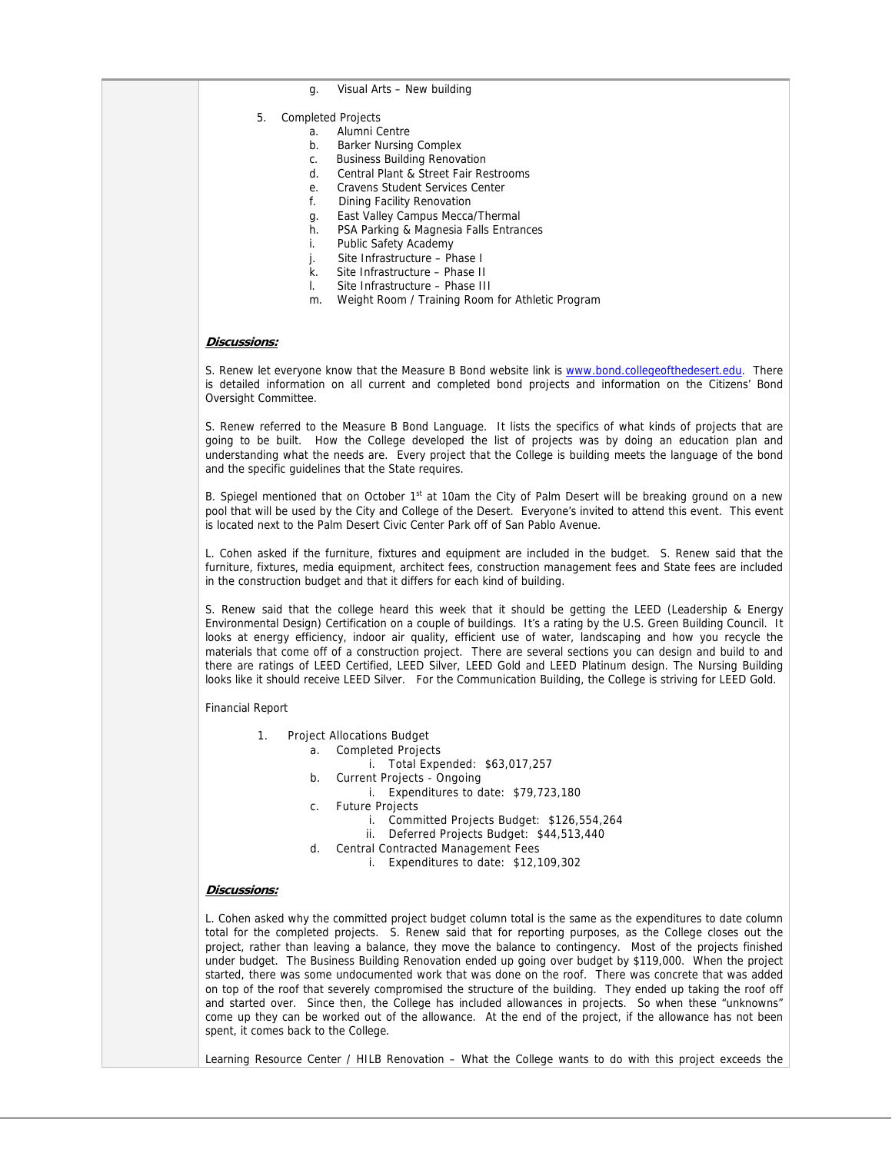- g. Visual Arts New building
- 5. Completed Projects
	- a. Alumni Centre
		- b. Barker Nursing Complex
		- c. Business Building Renovation
		- d. Central Plant & Street Fair Restrooms
		- e. Cravens Student Services Center
		- f. Dining Facility Renovation
		- g. East Valley Campus Mecca/Thermal
		- h. PSA Parking & Magnesia Falls Entrances
		- i. Public Safety Academy
		- j. Site Infrastructure Phase I
		- k. Site Infrastructure Phase II
		- l. Site Infrastructure Phase III
		- m. Weight Room / Training Room for Athletic Program

#### **Discussions:**

S. Renew let everyone know that the Measure B Bond website link is www.bond.collegeofthedesert.edu. There is detailed information on all current and completed bond projects and information on the Citizens' Bond Oversight Committee.

S. Renew referred to the Measure B Bond Language. It lists the specifics of what kinds of projects that are going to be built. How the College developed the list of projects was by doing an education plan and understanding what the needs are. Every project that the College is building meets the language of the bond and the specific guidelines that the State requires.

B. Spiegel mentioned that on October 1st at 10am the City of Palm Desert will be breaking ground on a new pool that will be used by the City and College of the Desert. Everyone's invited to attend this event. This event is located next to the Palm Desert Civic Center Park off of San Pablo Avenue.

L. Cohen asked if the furniture, fixtures and equipment are included in the budget. S. Renew said that the furniture, fixtures, media equipment, architect fees, construction management fees and State fees are included in the construction budget and that it differs for each kind of building.

S. Renew said that the college heard this week that it should be getting the LEED (Leadership & Energy Environmental Design) Certification on a couple of buildings. It's a rating by the U.S. Green Building Council. It looks at energy efficiency, indoor air quality, efficient use of water, landscaping and how you recycle the materials that come off of a construction project. There are several sections you can design and build to and there are ratings of LEED Certified, LEED Silver, LEED Gold and LEED Platinum design. The Nursing Building looks like it should receive LEED Silver. For the Communication Building, the College is striving for LEED Gold.

Financial Report

- 1. Project Allocations Budget
	- a. Completed Projects
		- i. Total Expended: \$63,017,257
	- b. Current Projects Ongoing
		- i. Expenditures to date: \$79,723,180
	- c. Future Projects
		- i. Committed Projects Budget: \$126,554,264
		- ii. Deferred Projects Budget: \$44,513,440
	- d. Central Contracted Management Fees
		- i. Expenditures to date: \$12,109,302

### **Discussions:**

L. Cohen asked why the committed project budget column total is the same as the expenditures to date column total for the completed projects. S. Renew said that for reporting purposes, as the College closes out the project, rather than leaving a balance, they move the balance to contingency. Most of the projects finished under budget. The Business Building Renovation ended up going over budget by \$119,000. When the project started, there was some undocumented work that was done on the roof. There was concrete that was added on top of the roof that severely compromised the structure of the building. They ended up taking the roof off and started over. Since then, the College has included allowances in projects. So when these "unknowns" come up they can be worked out of the allowance. At the end of the project, if the allowance has not been spent, it comes back to the College.

Learning Resource Center / HILB Renovation – What the College wants to do with this project exceeds the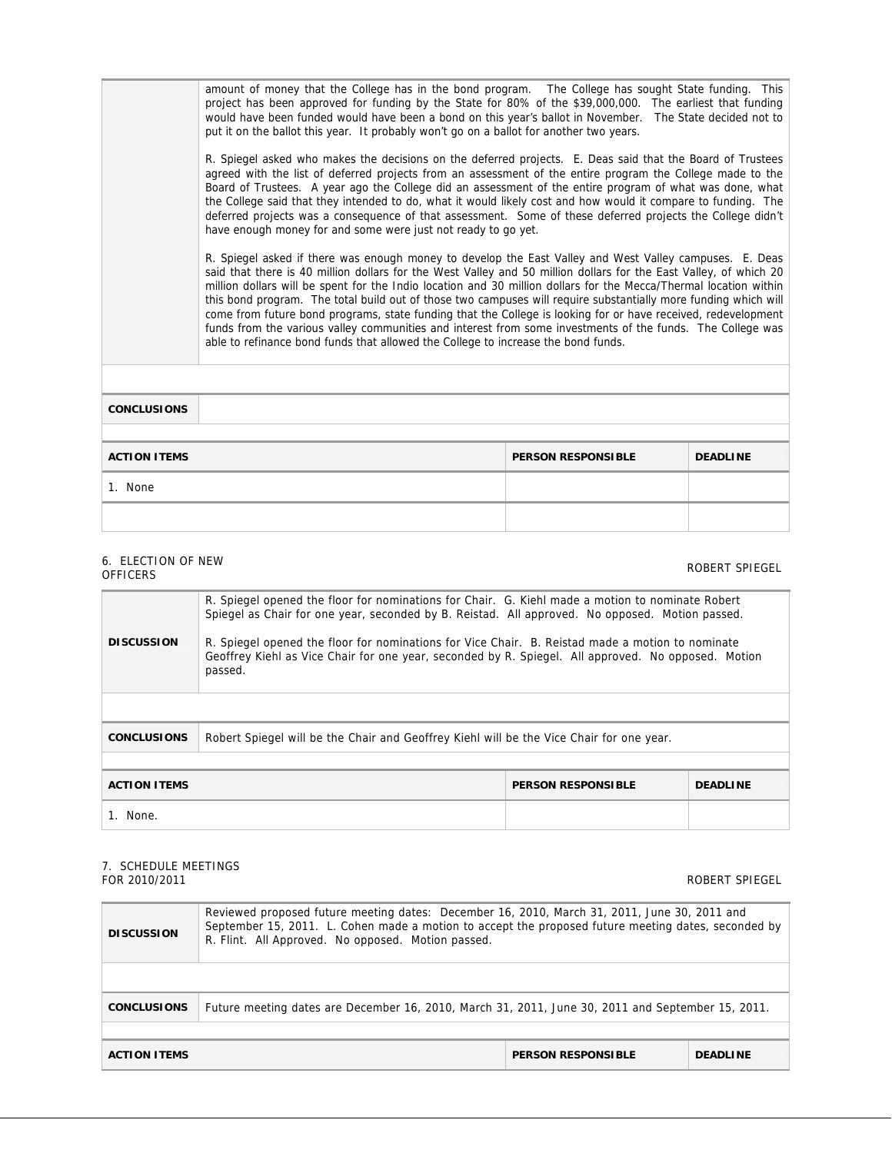amount of money that the College has in the bond program. The College has sought State funding. This project has been approved for funding by the State for 80% of the \$39,000,000. The earliest that funding would have been funded would have been a bond on this year's ballot in November. The State decided not to put it on the ballot this year. It probably won't go on a ballot for another two years.

R. Spiegel asked who makes the decisions on the deferred projects. E. Deas said that the Board of Trustees agreed with the list of deferred projects from an assessment of the entire program the College made to the Board of Trustees. A year ago the College did an assessment of the entire program of what was done, what the College said that they intended to do, what it would likely cost and how would it compare to funding. The deferred projects was a consequence of that assessment. Some of these deferred projects the College didn't have enough money for and some were just not ready to go yet.

R. Spiegel asked if there was enough money to develop the East Valley and West Valley campuses. E. Deas said that there is 40 million dollars for the West Valley and 50 million dollars for the East Valley, of which 20 million dollars will be spent for the Indio location and 30 million dollars for the Mecca/Thermal location within this bond program. The total build out of those two campuses will require substantially more funding which will come from future bond programs, state funding that the College is looking for or have received, redevelopment funds from the various valley communities and interest from some investments of the funds. The College was able to refinance bond funds that allowed the College to increase the bond funds.

| <b>CONCLUSIONS</b>  |                           |                 |
|---------------------|---------------------------|-----------------|
|                     |                           |                 |
| <b>ACTION ITEMS</b> | <b>PERSON RESPONSIBLE</b> | <b>DEADLINE</b> |
| 1. None             |                           |                 |
|                     |                           |                 |

### 6. ELECTION OF NEW of ELECTION OF NEW STREET SPIEGEL AND ROBERT SPIEGEL AND ROBERT SPIEGEL AND ROBERT SPIEGEL

| R. Spiegel opened the floor for nominations for Chair. G. Kiehl made a motion to nominate Robert<br>Spiegel as Chair for one year, seconded by B. Reistad. All approved. No opposed. Motion passed.<br><b>DISCUSSION</b><br>R. Spiegel opened the floor for nominations for Vice Chair. B. Reistad made a motion to nominate<br>Geoffrey Kiehl as Vice Chair for one year, seconded by R. Spiegel. All approved. No opposed. Motion<br>passed. |  |                 |  |
|------------------------------------------------------------------------------------------------------------------------------------------------------------------------------------------------------------------------------------------------------------------------------------------------------------------------------------------------------------------------------------------------------------------------------------------------|--|-----------------|--|
| Robert Spiegel will be the Chair and Geoffrey Kiehl will be the Vice Chair for one year.<br><b>CONCLUSIONS</b>                                                                                                                                                                                                                                                                                                                                 |  |                 |  |
| <b>ACTION ITEMS</b><br><b>PERSON RESPONSIBLE</b>                                                                                                                                                                                                                                                                                                                                                                                               |  | <b>DEADLINE</b> |  |
| 1. None.                                                                                                                                                                                                                                                                                                                                                                                                                                       |  |                 |  |

# 7. SCHEDULE MEETINGS

#### FOR 2010/2011 ROBERT SPIEGEL

| Reviewed proposed future meeting dates: December 16, 2010, March 31, 2011, June 30, 2011 and<br>September 15, 2011. L. Cohen made a motion to accept the proposed future meeting dates, seconded by<br><b>DISCUSSION</b><br>R. Flint. All Approved. No opposed. Motion passed. |  |                           |                 |  |
|--------------------------------------------------------------------------------------------------------------------------------------------------------------------------------------------------------------------------------------------------------------------------------|--|---------------------------|-----------------|--|
| Future meeting dates are December 16, 2010, March 31, 2011, June 30, 2011 and September 15, 2011.<br><b>CONCLUSIONS</b>                                                                                                                                                        |  |                           |                 |  |
| <b>ACTION ITEMS</b>                                                                                                                                                                                                                                                            |  | <b>PERSON RESPONSIBLE</b> | <b>DEADLINE</b> |  |